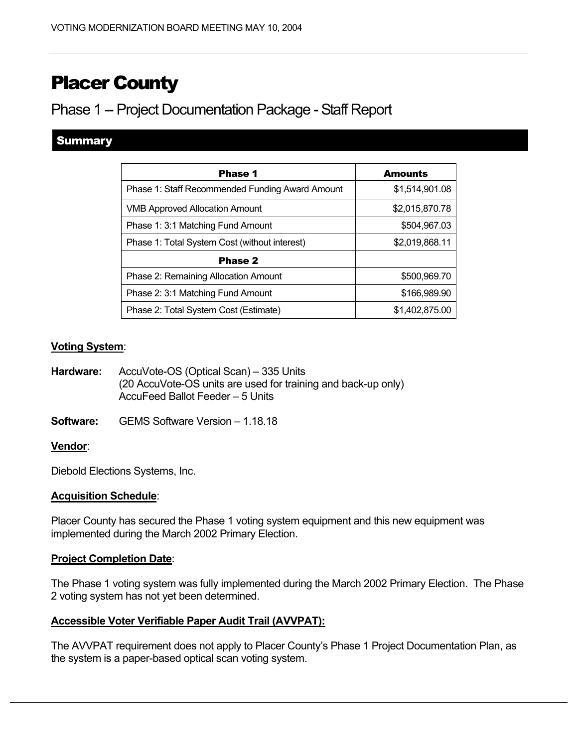# Placer County

# Phase 1 -- Project Documentation Package - Staff Report

# Summary

| Phase 1                                         | <b>Amounts</b> |
|-------------------------------------------------|----------------|
| Phase 1: Staff Recommended Funding Award Amount | \$1,514,901.08 |
| <b>VMB Approved Allocation Amount</b>           | \$2,015,870.78 |
| Phase 1: 3:1 Matching Fund Amount               | \$504,967.03   |
| Phase 1: Total System Cost (without interest)   | \$2,019,868.11 |
| Phase 2                                         |                |
| Phase 2: Remaining Allocation Amount            | \$500,969.70   |
| Phase 2: 3:1 Matching Fund Amount               | \$166,989.90   |
| Phase 2: Total System Cost (Estimate)           | \$1,402,875.00 |

# **Voting System**:

**Hardware:** AccuVote-OS (Optical Scan) – 335 Units (20 AccuVote-OS units are used for training and back-up only) AccuFeed Ballot Feeder – 5 Units

**Software:** GEMS Software Version – 1.18.18

## **Vendor**:

Diebold Elections Systems, Inc.

#### **Acquisition Schedule**:

Placer County has secured the Phase 1 voting system equipment and this new equipment was implemented during the March 2002 Primary Election.

#### **Project Completion Date**:

The Phase 1 voting system was fully implemented during the March 2002 Primary Election. The Phase 2 voting system has not yet been determined.

## **Accessible Voter Verifiable Paper Audit Trail (AVVPAT):**

The AVVPAT requirement does not apply to Placer County's Phase 1 Project Documentation Plan, as the system is a paper-based optical scan voting system.